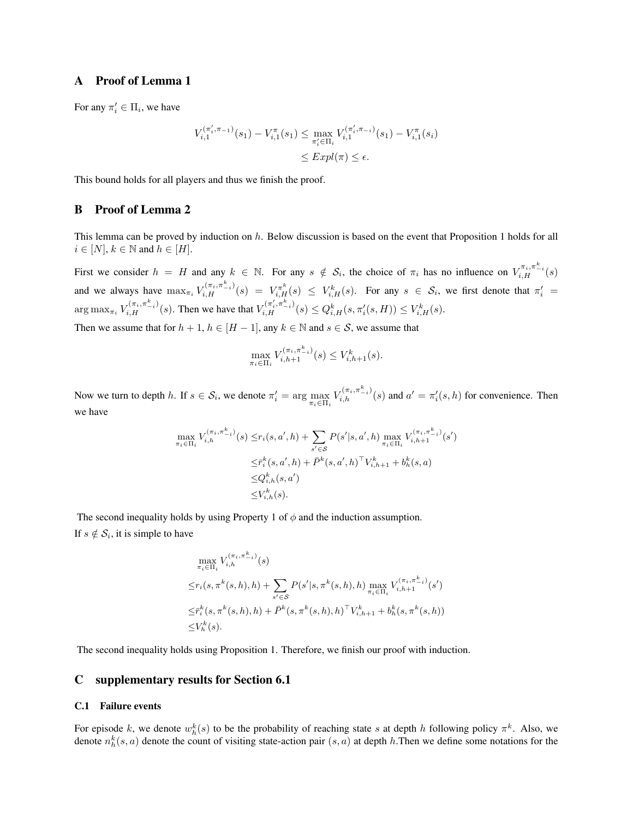# A Proof of Lemma 1

For any  $\pi'_i \in \Pi_i$ , we have

$$
V_{i,1}^{(\pi'_i, \pi_{-1})}(s_1) - V_{i,1}^{\pi}(s_1) \le \max_{\pi'_i \in \Pi_i} V_{i,1}^{(\pi'_i, \pi_{-i})}(s_1) - V_{i,1}^{\pi}(s_i)
$$
  

$$
\le Expl(\pi) \le \epsilon.
$$

This bound holds for all players and thus we finish the proof.

### B Proof of Lemma 2

This lemma can be proved by induction on *h*. Below discussion is based on the event that Proposition 1 holds for all  $i \in [N], k \in \mathbb{N}$  and  $h \in [H].$ 

First we consider  $h = H$  and any  $k \in \mathbb{N}$ . For any  $s \notin S_i$ , the choice of  $\pi_i$  has no influence on  $V_{i,H}^{\pi_i,\pi_{i}^k}(s)$ and we always have  $\max_{\pi_i} V_{i,H}^{(\pi_i, \pi_{-i}^k)}(s) = V_{i,H}^{\pi^k}(s) \leq V_{i,H}^k(s)$ . For any  $s \in S_i$ , we first denote that  $\pi'_i$  $\arg \max_{\pi_i} V_{i,H}^{(\pi_i, \pi_{-i}^k)}(s)$ . Then we have that  $V_{i,H}^{(\pi'_i, \pi_{-i}^k)}(s) \leq Q_{i,H}^k(s, \pi'_i(s, H)) \leq V_{i,H}^k(s)$ .

Then we assume that for  $h + 1$ ,  $h \in [H - 1]$ , any  $k \in \mathbb{N}$  and  $s \in \mathcal{S}$ , we assume that

$$
\max_{\pi_i \in \Pi_i} V_{i,h+1}^{(\pi_i, \pi_{-i}^k)}(s) \leq V_{i,h+1}^k(s).
$$

Now we turn to depth h. If  $s \in S_i$ , we denote  $\pi'_i = \arg \max_{\pi_i \in \Pi_i} V_{i,h}^{(\pi_i, \pi_{-i}^k)}(s)$  and  $a' = \pi'_i(s, h)$  for convenience. Then we have

$$
\max_{\pi_i \in \Pi_i} V_{i,h}^{(\pi_i, \pi_{-i}^k)}(s) \le r_i(s, a', h) + \sum_{s' \in S} P(s'|s, a', h) \max_{\pi_i \in \Pi_i} V_{i,h+1}^{(\pi_i, \pi_{-i}^k)}(s')
$$
  

$$
\le \bar{r}_i^k(s, a', h) + \bar{P}^k(s, a', h)^\top V_{i,h+1}^k + b_h^k(s, a)
$$
  

$$
\le Q_{i,h}^k(s, a')
$$
  

$$
\le V_{i,h}^k(s).
$$

The second inequality holds by using Property 1 of  $\phi$  and the induction assumption. If  $s \notin S_i$ , it is simple to have

$$
\max_{\pi_i \in \Pi_i} V_{i,h}^{(\pi_i, \pi_{-i}^k)}(s)
$$
\n
$$
\leq r_i(s, \pi^k(s, h), h) + \sum_{s' \in S} P(s'|s, \pi^k(s, h), h) \max_{\pi_i \in \Pi_i} V_{i,h+1}^{(\pi_i, \pi_{-i}^k)}(s')
$$
\n
$$
\leq \bar{r}_i^k(s, \pi^k(s, h), h) + \bar{P}^k(s, \pi^k(s, h), h)^\top V_{i,h+1}^k + b_h^k(s, \pi^k(s, h))
$$
\n
$$
\leq V_h^k(s).
$$

The second inequality holds using Proposition 1. Therefore, we finish our proof with induction.

# C supplementary results for Section 6.1

#### C.1 Failure events

For episode *k*, we denote  $w_h^k(s)$  to be the probability of reaching state *s* at depth *h* following policy  $\pi^k$ . Also, we denote  $n_h^k(s, a)$  denote the count of visiting state-action pair  $(s, a)$  at depth  $h$ . Then we define some notations for the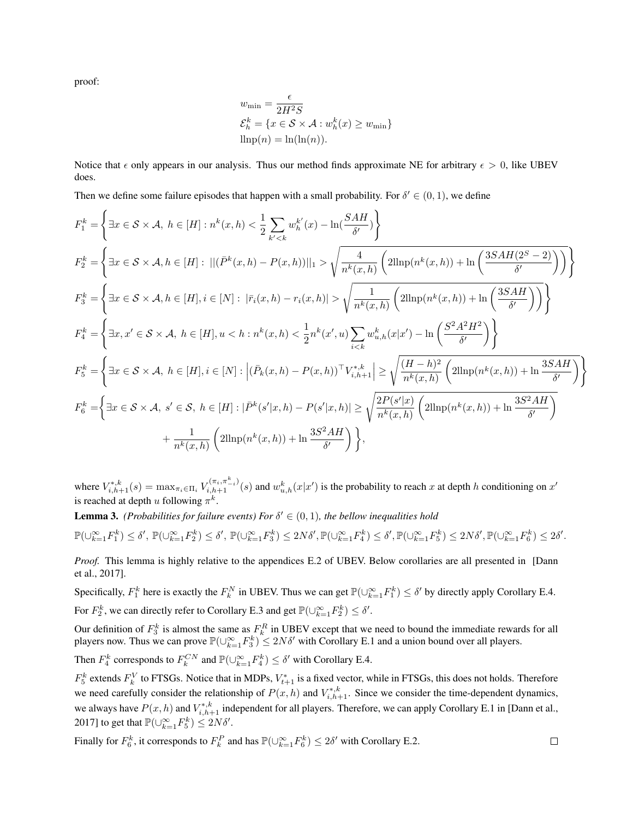proof:

$$
w_{\min} = \frac{\epsilon}{2H^2S}
$$
  
\n
$$
\mathcal{E}_h^k = \{x \in \mathcal{S} \times \mathcal{A} : w_h^k(x) \ge w_{\min}\}
$$
  
\n
$$
\lim p(n) = \ln(\ln(n)).
$$

Notice that  $\epsilon$  only appears in our analysis. Thus our method finds approximate NE for arbitrary  $\epsilon > 0$ , like UBEV does.

Then we define some failure episodes that happen with a small probability. For  $\delta' \in (0, 1)$ , we define

$$
F_{1}^{k} = \left\{ \exists x \in S \times A, \ h \in [H] : n^{k}(x,h) < \frac{1}{2} \sum_{k' < k} w_{h}^{k'}(x) - \ln(\frac{SAH}{\delta'}) \right\}
$$
\n
$$
F_{2}^{k} = \left\{ \exists x \in S \times A, h \in [H] : \ |(\bar{P}^{k}(x,h) - P(x,h))||_{1} > \sqrt{\frac{4}{n^{k}(x,h)} \left( 2\text{llnp}(n^{k}(x,h)) + \ln\left(\frac{3SAH(2^{S} - 2)}{\delta'}\right) \right)} \right\}
$$
\n
$$
F_{3}^{k} = \left\{ \exists x \in S \times A, h \in [H], i \in [N] : |\bar{r}_{i}(x,h) - r_{i}(x,h)| > \sqrt{\frac{1}{n^{k}(x,h)} \left( 2\text{llnp}(n^{k}(x,h)) + \ln\left(\frac{3SAH}{\delta'}\right) \right)} \right\}
$$
\n
$$
F_{4}^{k} = \left\{ \exists x, x' \in S \times A, \ h \in [H], u < h : n^{k}(x,h) < \frac{1}{2}n^{k}(x',u) \sum_{i < k} w_{u,h}^{k}(x|x') - \ln\left(\frac{S^{2}A^{2}H^{2}}{\delta'}\right) \right\}
$$
\n
$$
F_{5}^{k} = \left\{ \exists x \in S \times A, \ h \in [H], i \in [N] : \left| (\bar{P}_{k}(x,h) - P(x,h)) \top V_{i,h+1}^{*,k} \right| \ge \sqrt{\frac{(H-h)^{2}}{n^{k}(x,h)} \left( 2\text{llnp}(n^{k}(x,h)) + \ln \frac{3SAH}{\delta'} \right)} \right\}
$$
\n
$$
F_{6}^{k} = \left\{ \exists x \in S \times A, \ s' \in S, \ h \in [H] : |\bar{P}^{k}(s'|x,h) - P(s'|x,h)| \ge \sqrt{\frac{2P(s'|x)}{n^{k}(x,h)} \left( 2\text{llnp}(n^{k}(x,h)) + \ln \frac{3S^{2}AH}{\delta'} \right)} \right\}
$$

where  $V_{i,h+1}^{*,k}(s) = \max_{\pi_i \in \Pi_i} V_{i,h+1}^{(\pi_i, \pi_{-i}^k)}(s)$  and  $w_{u,h}^k(x|x')$  is the probability to reach x at depth h conditioning on  $x'$ is reached at depth *u* following  $\pi^{k}$ .

**Lemma 3.** *(Probabilities for failure events) For*  $\delta' \in (0, 1)$ *, the bellow inequalities hold* 

 $\mathbb{P}(\cup_{k=1}^{\infty}F_1^k)\leq \delta',\ \mathbb{P}(\cup_{k=1}^{\infty}F_2^k)\leq \delta',\ \mathbb{P}(\cup_{k=1}^{\infty}F_3^k)\leq 2N\delta',\\ \mathbb{P}(\cup_{k=1}^{\infty}F_4^k)\leq \delta',\mathbb{P}(\cup_{k=1}^{\infty}F_5^k)\leq 2N\delta',\\ \mathbb{P}(\cup_{k=1}^{\infty}F_6^k)\leq 2\delta'.$ 

*Proof.* This lemma is highly relative to the appendices E.2 of UBEV. Below corollaries are all presented in [Dann et al., 2017].

Specifically,  $F_1^k$  here is exactly the  $F_k^N$  in UBEV. Thus we can get  $\mathbb{P}(\cup_{k=1}^{\infty} F_1^k) \le \delta'$  by directly apply Corollary E.4. For  $F_2^k$ , we can directly refer to Corollary E.3 and get  $\mathbb{P}(\bigcup_{k=1}^{\infty} F_2^k) \le \delta'.$ 

Our definition of  $F_3^k$  is almost the same as  $F_k^R$  in UBEV except that we need to bound the immediate rewards for all players now. Thus we can prove  $\mathbb{P}(\bigcup_{k=1}^{\infty} F_3^k) \leq 2N\delta'$  with Corollary E.1 and a union bound over all players.

Then  $F_4^k$  corresponds to  $F_k^{CN}$  and  $\mathbb{P}(\bigcup_{k=1}^{\infty} F_4^k) \leq \delta'$  with Corollary E.4.

 $F_5^k$  extends  $F_k^V$  to FTSGs. Notice that in MDPs,  $V_{t+1}^*$  is a fixed vector, while in FTSGs, this does not holds. Therefore we need carefully consider the relationship of  $P(x, h)$  and  $V_{i, h+1}^{*, k}$ . Since we consider the time-dependent dynamics, we always have  $P(x, h)$  and  $V_{i, h+1}^{*, k}$  independent for all players. Therefore, we can apply Corollary E.1 in [Dann et al., 2017] to get that  $\mathbb{P}(\cup_{k=1}^{\infty} F_5^k) \leq 2N\delta'.$ 

Finally for  $F_6^k$ , it corresponds to  $F_k^P$  and has  $\mathbb{P}(\cup_{k=1}^{\infty} F_6^k) \leq 2\delta'$  with Corollary E.2.

 $\Box$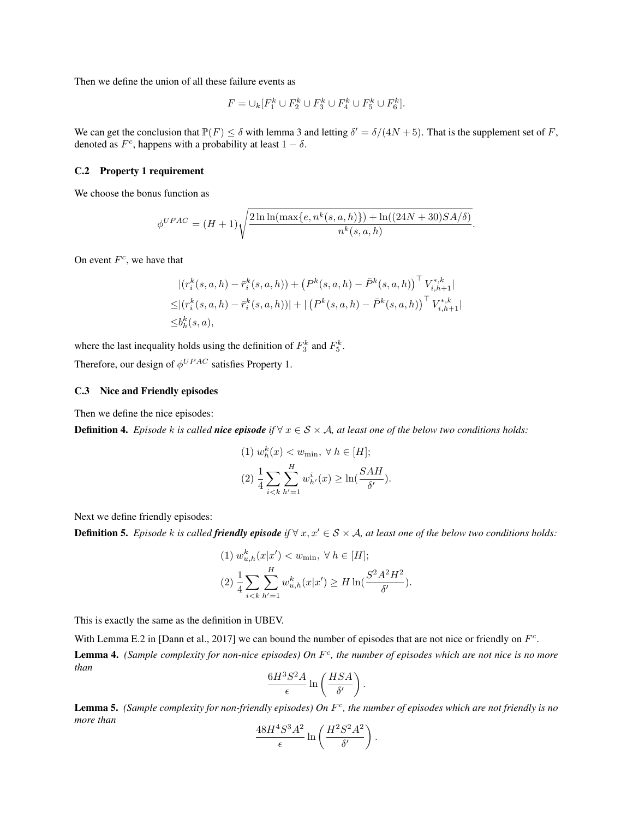Then we define the union of all these failure events as

$$
F = \cup_k [F_1^k \cup F_2^k \cup F_3^k \cup F_4^k \cup F_5^k \cup F_6^k].
$$

We can get the conclusion that  $\mathbb{P}(F) \le \delta$  with lemma 3 and letting  $\delta' = \delta/(4N+5)$ . That is the supplement set of *F*, denoted as  $F^c$ , happens with a probability at least  $1 - \delta$ .

## C.2 Property 1 requirement

We choose the bonus function as

$$
\phi^{UPAC} = (H+1)\sqrt{\frac{2\ln\ln(\max\{e, n^k(s, a, h)\}) + \ln((24N+30)SA/\delta)}{n^k(s, a, h)}}.
$$

On event *Fc*, we have that

$$
|(r_i^k(s, a, h) - \bar{r}_i^k(s, a, h)) + (P^k(s, a, h) - \bar{P}^k(s, a, h))' V_{i, h+1}^{*, k}|
$$
  
\n
$$
\leq |(r_i^k(s, a, h) - \bar{r}_i^k(s, a, h))| + |(P^k(s, a, h) - \bar{P}^k(s, a, h))' V_{i, h+1}^{*, k}|
$$
  
\n
$$
\leq b_h^k(s, a),
$$

where the last inequality holds using the definition of  $F_3^k$  and  $F_5^k$ .

Therefore, our design of  $\phi^{UPAC}$  satisfies Property 1.

## C.3 Nice and Friendly episodes

Then we define the nice episodes:

**Definition 4.** *Episode k is called nice episode if*  $\forall x \in S \times A$ , *at least one of the below two conditions holds:* 

(1) 
$$
w_h^k(x) < w_{\min}, \forall h \in [H];
$$
  
\n(2)  $\frac{1}{4} \sum_{i < k} \sum_{h'=1}^H w_{h'}^i(x) \ge \ln(\frac{SAH}{\delta'}).$ 

Next we define friendly episodes:

**Definition 5.** *Episode k is called friendly episode if*  $\forall x, x' \in S \times A$ *, at least one of the below two conditions holds:* 

(1) 
$$
w_{u,h}^k(x|x') < w_{\min}, \forall h \in [H];
$$
  
\n(2)  $\frac{1}{4} \sum_{i \le k} \sum_{h'=1}^H w_{u,h}^k(x|x') \ge H \ln(\frac{S^2 A^2 H^2}{\delta}).$ 

This is exactly the same as the definition in UBEV.

With Lemma E.2 in [Dann et al., 2017] we can bound the number of episodes that are not nice or friendly on  $F^c$ .

Lemma 4. *(Sample complexity for non-nice episodes) On F<sup>c</sup>, the number of episodes which are not nice is no more than*

$$
\frac{6H^3S^2A}{\epsilon}\ln\left(\frac{HSA}{\delta'}\right).
$$

Lemma 5. *(Sample complexity for non-friendly episodes) On F<sup>c</sup>, the number of episodes which are not friendly is no more than*

$$
\frac{48H^4S^3A^2}{\epsilon}\ln\left(\frac{H^2S^2A^2}{\delta'}\right).
$$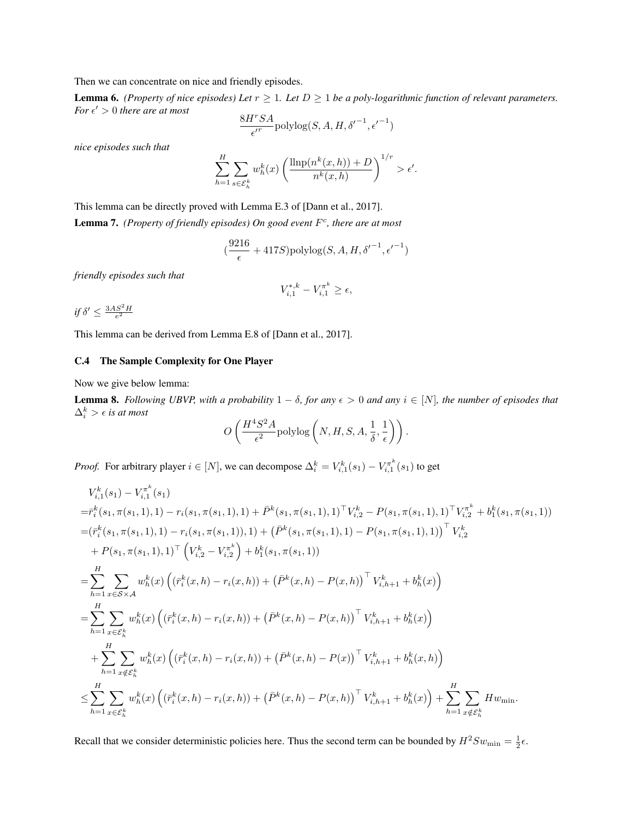Then we can concentrate on nice and friendly episodes.

**Lemma 6.** *(Property of nice episodes) Let*  $r \geq 1$ *. Let*  $D \geq 1$  *be a poly-logarithmic function of relevant parameters. For*  $\epsilon' > 0$  *there are at most* 

$$
\frac{8H^rSA}{\epsilon'^r} \mathrm{polylog}(S,A,H,{\delta'}^{-1}, {\epsilon'}^{-1})
$$

*nice episodes such that*

$$
\sum_{h=1}^{H} \sum_{s \in \mathcal{E}_h^k} w_h^k(x) \left( \frac{\text{llnp}(n^k(x,h)) + D}{n^k(x,h)} \right)^{1/r} > \epsilon'.
$$

This lemma can be directly proved with Lemma E.3 of [Dann et al., 2017]. Lemma 7. *(Property of friendly episodes) On good event F<sup>c</sup>, there are at most*

$$
(\frac{9216}{\epsilon} + 417S) \text{polylog}(S, A, H, {\delta'}^{-1}, {\epsilon'}^{-1})
$$

*friendly episodes such that*

$$
V_{i,1}^{*,k} - V_{i,1}^{\pi^k} \ge \epsilon,
$$

 $if \delta' \leq \frac{3AS^2H}{e^2}$ 

This lemma can be derived from Lemma E.8 of [Dann et al., 2017].

## C.4 The Sample Complexity for One Player

Now we give below lemma:

**Lemma 8.** Following UBVP, with a probability  $1 - \delta$ , for any  $\epsilon > 0$  and any  $i \in [N]$ , the number of episodes that  $\Delta_i^k > \epsilon$  *is at most* 

$$
O\left(\frac{H^4S^2A}{\epsilon^2}\text{polylog}\left(N, H, S, A, \frac{1}{\delta}, \frac{1}{\epsilon}\right)\right).
$$

*Proof.* For arbitrary player  $i \in [N]$ , we can decompose  $\Delta_i^k = V_{i,1}^k(s_1) - V_{i,1}^{\pi^k}(s_1)$  to get

$$
V_{i,1}^{k}(s_{1}) - V_{i,1}^{\pi^{k}}(s_{1})
$$
\n
$$
= \bar{r}_{i}^{k}(s_{1}, \pi(s_{1}, 1), 1) - r_{i}(s_{1}, \pi(s_{1}, 1), 1) + \bar{P}^{k}(s_{1}, \pi(s_{1}, 1), 1)^{\top}V_{i,2}^{k} - P(s_{1}, \pi(s_{1}, 1), 1)^{\top}V_{i,2}^{\pi^{k}} + b_{1}^{k}(s_{1}, \pi(s_{1}, 1))
$$
\n
$$
= (\bar{r}_{i}^{k}(s_{1}, \pi(s_{1}, 1), 1) - r_{i}(s_{1}, \pi(s_{1}, 1)), 1) + (\bar{P}^{k}(s_{1}, \pi(s_{1}, 1), 1) - P(s_{1}, \pi(s_{1}, 1), 1))^{\top}V_{i,2}^{k}
$$
\n
$$
+ P(s_{1}, \pi(s_{1}, 1), 1)^{\top} (V_{i,2}^{k} - V_{i,2}^{\pi^{k}}) + b_{1}^{k}(s_{1}, \pi(s_{1}, 1))
$$
\n
$$
= \sum_{h=1}^{H} \sum_{x \in S \times A} w_{h}^{k}(x) (\bar{r}_{i}^{k}(x, h) - r_{i}(x, h)) + (\bar{P}^{k}(x, h) - P(x, h))^{\top}V_{i,h+1}^{k} + b_{h}^{k}(x))
$$
\n
$$
= \sum_{h=1}^{H} \sum_{x \in S_{h}^{k}} w_{h}^{k}(x) (\bar{r}_{i}^{k}(x, h) - r_{i}(x, h)) + (\bar{P}^{k}(x, h) - P(x, h))^{\top}V_{i,h+1}^{k} + b_{h}^{k}(x))
$$
\n
$$
+ \sum_{h=1}^{H} \sum_{x \notin S_{h}^{k}} w_{h}^{k}(x) (\bar{r}_{i}^{k}(x, h) - r_{i}(x, h)) + (\bar{P}^{k}(x, h) - P(x))^{\top}V_{i,h+1}^{k} + b_{h}^{k}(x, h))
$$
\n
$$
\leq \sum_{h=1}^{H} \sum_{x \in S_{h}^{k}} w_{h}^{k}(x) (\bar{r}_{i}^{k}(x, h) - r_{i}(x, h)) + (\
$$

Recall that we consider deterministic policies here. Thus the second term can be bounded by  $H^2Sw_{\text{min}} = \frac{1}{2}\epsilon$ .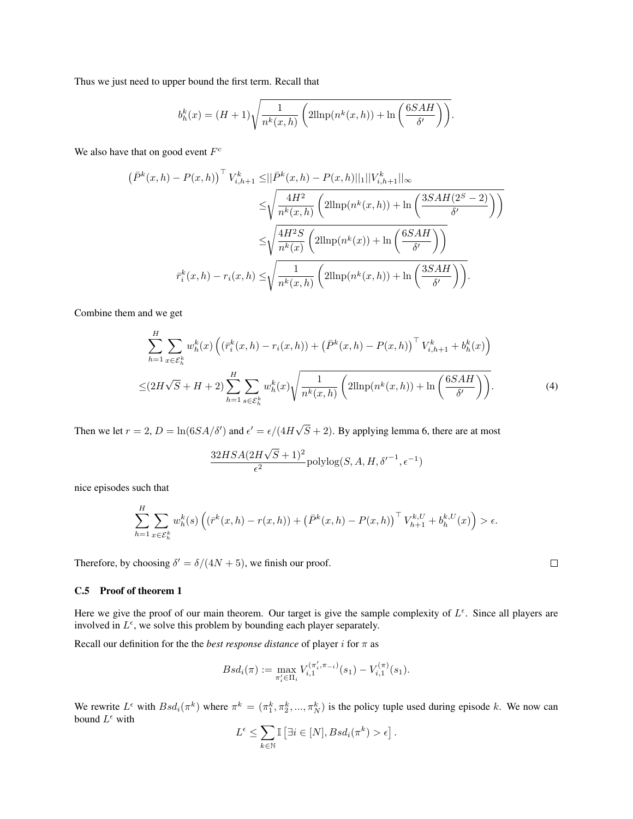Thus we just need to upper bound the first term. Recall that

$$
b_h^k(x) = (H+1)\sqrt{\frac{1}{n^k(x,h)}\left(2\mathrm{llnp}(n^k(x,h)) + \ln\left(\frac{6SAH}{\delta'}\right)\right)}.
$$

We also have that on good event *F<sup>c</sup>*

$$
\left(\bar{P}^k(x,h) - P(x,h)\right)^\top V_{i,h+1}^k \leq ||\bar{P}^k(x,h) - P(x,h)||_1||V_{i,h+1}^k||_\infty
$$
  

$$
\leq \sqrt{\frac{4H^2}{n^k(x,h)} \left(2\text{llnp}(n^k(x,h)) + \ln\left(\frac{3SAH(2^S-2)}{\delta'}\right)\right)}
$$
  

$$
\leq \sqrt{\frac{4H^2S}{n^k(x)}} \left(2\text{llnp}(n^k(x)) + \ln\left(\frac{6SAH}{\delta'}\right)\right)
$$
  

$$
\bar{r}_i^k(x,h) - r_i(x,h) \leq \sqrt{\frac{1}{n^k(x,h)} \left(2\text{llnp}(n^k(x,h)) + \ln\left(\frac{3SAH}{\delta'}\right)\right)}.
$$

Combine them and we get

$$
\sum_{h=1}^{H} \sum_{x \in \mathcal{E}_h^k} w_h^k(x) \left( \left( \bar{r}_i^k(x, h) - r_i(x, h) \right) + \left( \bar{P}^k(x, h) - P(x, h) \right)^\top V_{i, h+1}^k + b_h^k(x) \right)
$$
  

$$
\leq (2H\sqrt{S} + H + 2) \sum_{h=1}^{H} \sum_{s \in \mathcal{E}_h^k} w_h^k(x) \sqrt{\frac{1}{n^k(x, h)} \left( 2\text{llnp}(n^k(x, h)) + \text{ln}\left(\frac{6SAH}{\delta'}\right) \right)}.
$$
 (4)

Then we let  $r = 2$ ,  $D = \ln(6SA/\delta')$  and  $\epsilon' = \epsilon/(4H\sqrt{S} + 2)$ . By applying lemma 6, there are at most

$$
\frac{32HSA(2H\sqrt{S}+1)^2}{\epsilon^2}\mathrm{polylog}(S,A,H,\delta'^{-1},\epsilon^{-1})
$$

nice episodes such that

$$
\sum_{h=1}^{H} \sum_{x \in \mathcal{E}_h^k} w_h^k(s) \left( (\bar{r}^k(x, h) - r(x, h)) + (\bar{P}^k(x, h) - P(x, h))^\top V_{h+1}^{k, U} + b_h^{k, U}(x) \right) > \epsilon.
$$

Therefore, by choosing  $\delta' = \delta/(4N + 5)$ , we finish our proof.

#### C.5 Proof of theorem 1

Here we give the proof of our main theorem. Our target is give the sample complexity of  $L^{\epsilon}$ . Since all players are involved in  $L^{\epsilon}$ , we solve this problem by bounding each player separately.

Recall our definition for the the *best response distance* of player *i* for  $\pi$  as

$$
Bsd_i(\pi) := \max_{\pi'_i \in \Pi_i} V_{i,1}^{(\pi'_i, \pi_{-i})}(s_1) - V_{i,1}^{(\pi)}(s_1).
$$

We rewrite  $L^{\epsilon}$  with  $Bsd_i(\pi^k)$  where  $\pi^k = (\pi_1^k, \pi_2^k, ..., \pi_N^k)$  is the policy tuple used during episode *k*. We now can bound  $L^{\epsilon}$  with

$$
L^{\epsilon} \leq \sum_{k \in \mathbb{N}} \mathbb{I} \left[ \exists i \in [N], Bsd_i(\pi^k) > \epsilon \right].
$$

 $\Box$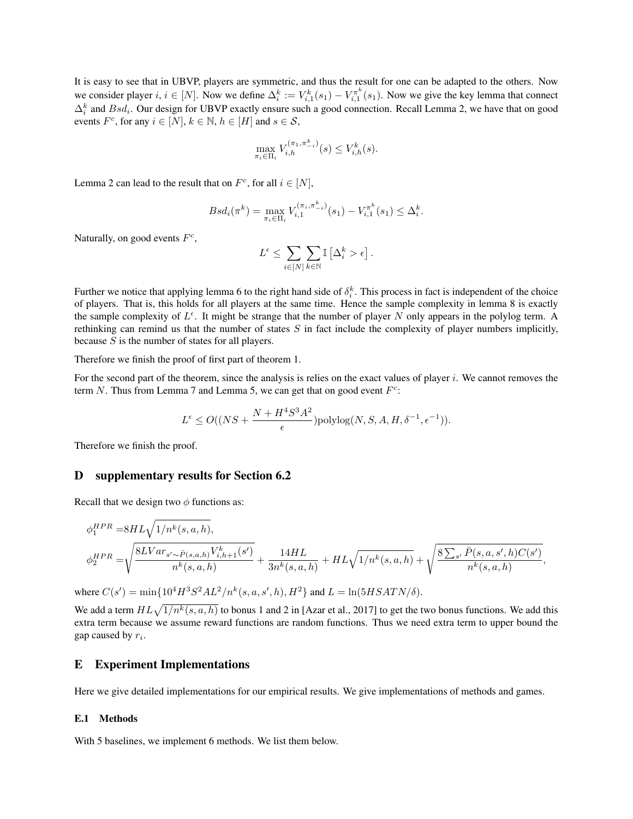It is easy to see that in UBVP, players are symmetric, and thus the result for one can be adapted to the others. Now we consider player *i*,  $i \in [N]$ . Now we define  $\Delta_i^k := V_{i,1}^k(s_1) - V_{i,1}^{\pi^k}(s_1)$ . Now we give the key lemma that connect  $\Delta_i^k$  and  $Bsd_i$ . Our design for UBVP exactly ensure such a good connection. Recall Lemma 2, we have that on good events  $F^c$ , for any  $i \in [N]$ ,  $k \in \mathbb{N}$ ,  $h \in [H]$  and  $s \in \mathcal{S}$ ,

$$
\max_{\pi_i \in \Pi_i} V_{i,h}^{(\pi_1, \pi_{-i}^k)}(s) \le V_{i,h}^k(s).
$$

Lemma 2 can lead to the result that on  $F^c$ , for all  $i \in [N]$ ,

$$
Bsd_i(\pi^k) = \max_{\pi_i \in \Pi_i} V_{i,1}^{(\pi_i, \pi_{-i}^k)}(s_1) - V_{i,1}^{\pi^k}(s_1) \leq \Delta_i^k.
$$

Naturally, on good events *Fc*,

$$
L^\epsilon \leq \sum_{i\in[N]}\sum_{k\in\mathbb{N}}\mathbb{I}\left[\Delta_i^k>\epsilon\right].
$$

Further we notice that applying lemma 6 to the right hand side of  $\delta_i^k$ . This process in fact is independent of the choice of players. That is, this holds for all players at the same time. Hence the sample complexity in lemma 8 is exactly the sample complexity of  $L^{\epsilon}$ . It might be strange that the number of player *N* only appears in the polylog term. A rethinking can remind us that the number of states *S* in fact include the complexity of player numbers implicitly, because *S* is the number of states for all players.

Therefore we finish the proof of first part of theorem 1.

For the second part of the theorem, since the analysis is relies on the exact values of player *i*. We cannot removes the term *N*. Thus from Lemma 7 and Lemma 5, we can get that on good event *F<sup>c</sup>*:

$$
L^{\epsilon} \le O((NS + \frac{N + H^4 S^3 A^2}{\epsilon}) \text{polylog}(N, S, A, H, \delta^{-1}, \epsilon^{-1})).
$$

Therefore we finish the proof.

## D supplementary results for Section 6.2

Recall that we design two  $\phi$  functions as:

$$
\begin{aligned} & \phi^{HPR}_1 = & 8HL\sqrt{1/n^k(s,a,h)}, \\ & \phi^{HPR}_2 = & \sqrt{\frac{8LVar_{s' \sim \bar{P}(s,a,h)}V^k_{i,h+1}(s')}{n^k(s,a,h)}} + \frac{14HL}{3n^k(s,a,h)} + HL\sqrt{1/n^k(s,a,h)} + \sqrt{\frac{8\sum_{s'}\bar{P}(s,a,s',h)C(s')}{n^k(s,a,h)}}, \end{aligned}
$$

where  $C(s') = \min\{10^4 H^3 S^2 A L^2 / n^k(s, a, s', h), H^2\}$  and  $L = \ln(5HSATN/\delta)$ .

We add a term  $HL\sqrt{1/n^k(s, a, h)}$  to bonus 1 and 2 in [Azar et al., 2017] to get the two bonus functions. We add this extra term because we assume reward functions are random functions. Thus we need extra term to upper bound the gap caused by *ri*.

### E Experiment Implementations

Here we give detailed implementations for our empirical results. We give implementations of methods and games.

#### E.1 Methods

With 5 baselines, we implement 6 methods. We list them below.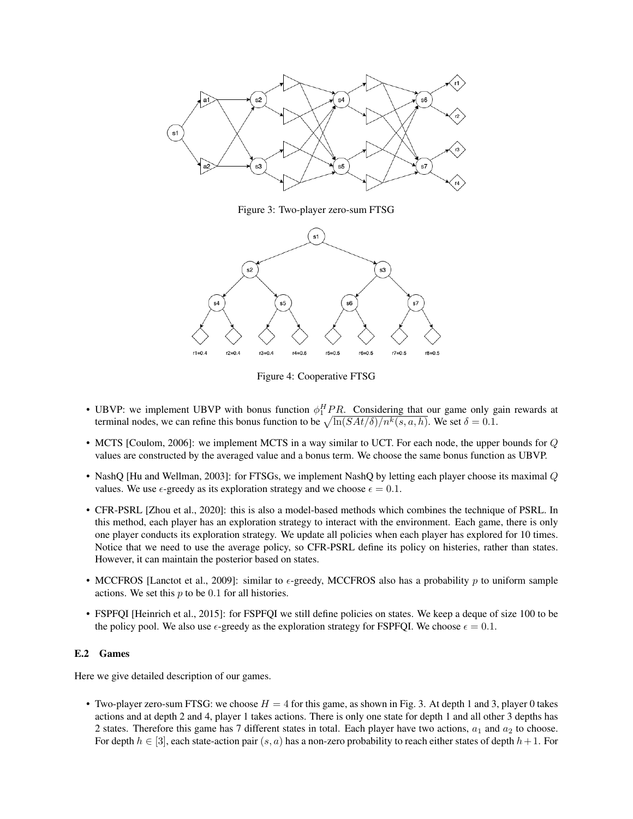

Figure 3: Two-player zero-sum FTSG



Figure 4: Cooperative FTSG

- UBVP: we implement UBVP with bonus function  $\phi_1^H P R$ . Considering that our game only gain rewards at terminal nodes, we can refine this bonus function to be  $\sqrt{\ln(SAt/\delta)/n^k(s, a, h)}$ . We set  $\delta = 0.1$ .
- MCTS [Coulom, 2006]: we implement MCTS in a way similar to UCT. For each node, the upper bounds for *Q* values are constructed by the averaged value and a bonus term. We choose the same bonus function as UBVP.
- NashQ [Hu and Wellman, 2003]: for FTSGs, we implement NashQ by letting each player choose its maximal *Q* values. We use  $\epsilon$ -greedy as its exploration strategy and we choose  $\epsilon = 0.1$ .
- CFR-PSRL [Zhou et al., 2020]: this is also a model-based methods which combines the technique of PSRL. In this method, each player has an exploration strategy to interact with the environment. Each game, there is only one player conducts its exploration strategy. We update all policies when each player has explored for 10 times. Notice that we need to use the average policy, so CFR-PSRL define its policy on histeries, rather than states. However, it can maintain the posterior based on states.
- MCCFROS [Lanctot et al., 2009]: similar to  $\epsilon$ -greedy, MCCFROS also has a probability p to uniform sample actions. We set this *p* to be 0*.*1 for all histories.
- FSPFQI [Heinrich et al., 2015]: for FSPFQI we still define policies on states. We keep a deque of size 100 to be the policy pool. We also use  $\epsilon$ -greedy as the exploration strategy for FSPFQI. We choose  $\epsilon = 0.1$ .

#### E.2 Games

Here we give detailed description of our games.

• Two-player zero-sum FTSG: we choose  $H = 4$  for this game, as shown in Fig. 3. At depth 1 and 3, player 0 takes actions and at depth 2 and 4, player 1 takes actions. There is only one state for depth 1 and all other 3 depths has 2 states. Therefore this game has 7 different states in total. Each player have two actions,  $a_1$  and  $a_2$  to choose. For depth  $h \in [3]$ , each state-action pair  $(s, a)$  has a non-zero probability to reach either states of depth  $h+1$ . For